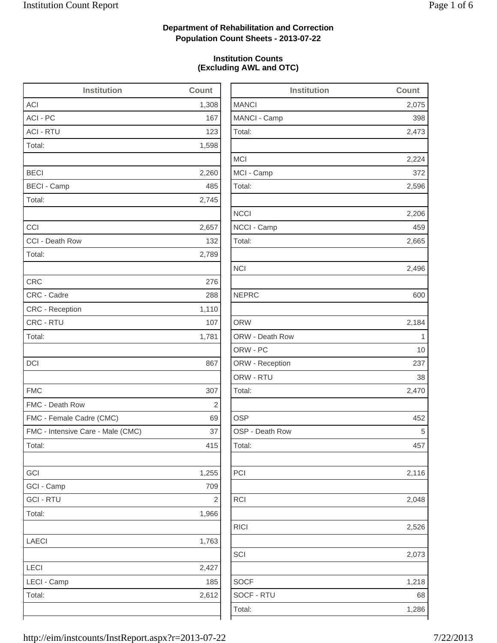2,075

2,473

2,224

2,596

2,206

2,665

2,496

2,116

2,048

2,526

2,073

1,218

## **Department of Rehabilitation and Correction Population Count Sheets - 2013-07-22**

### **Institution Counts (Excluding AWL and OTC)**

| <b>Institution</b>                | Count          | <b>Institution</b> | Count          |
|-----------------------------------|----------------|--------------------|----------------|
| <b>ACI</b>                        | 1,308          | <b>MANCI</b>       | 2,075          |
| ACI - PC                          | 167            | MANCI - Camp       | 398            |
| <b>ACI - RTU</b>                  | 123            | Total:             | 2,473          |
| Total:                            | 1,598          |                    |                |
|                                   |                | <b>MCI</b>         | 2,224          |
| <b>BECI</b>                       | 2,260          | MCI - Camp         | 372            |
| <b>BECI - Camp</b>                | 485            | Total:             | 2,596          |
| Total:                            | 2,745          |                    |                |
|                                   |                | <b>NCCI</b>        | 2,206          |
| CCI                               | 2,657          | NCCI - Camp        | 459            |
| CCI - Death Row                   | 132            | Total:             | 2,665          |
| Total:                            | 2,789          |                    |                |
|                                   |                | <b>NCI</b>         | 2,496          |
| <b>CRC</b>                        | 276            |                    |                |
| CRC - Cadre                       | 288            | <b>NEPRC</b>       | 600            |
| <b>CRC</b> - Reception            | 1,110          |                    |                |
| CRC - RTU                         | 107            | <b>ORW</b>         | 2,184          |
| Total:                            | 1,781          | ORW - Death Row    | $\overline{1}$ |
|                                   |                | ORW - PC           | 10             |
| DCI                               | 867            | ORW - Reception    | 237            |
|                                   |                | ORW - RTU          | 38             |
| <b>FMC</b>                        | 307            | Total:             | 2,470          |
| FMC - Death Row                   | $\overline{2}$ |                    |                |
| FMC - Female Cadre (CMC)          | 69             | <b>OSP</b>         | 452            |
| FMC - Intensive Care - Male (CMC) | 37             | OSP - Death Row    | 5              |
| Total:                            | 415            | Total:             | 457            |
| GCI                               | 1,255          | PCI                | 2,116          |
| GCI - Camp                        | 709            |                    |                |
| <b>GCI - RTU</b>                  | $\sqrt{2}$     | <b>RCI</b>         | 2,048          |
| Total:                            | 1,966          |                    |                |
|                                   |                | <b>RICI</b>        | 2,526          |
| <b>LAECI</b>                      | 1,763          |                    |                |
|                                   |                | SCI                | 2,073          |
| LECI                              | 2,427          |                    |                |
| LECI - Camp                       | 185            | <b>SOCF</b>        | 1,218          |
| Total:                            | 2,612          | SOCF - RTU         | 68             |
|                                   |                | Total:             | 1,286          |
|                                   |                |                    |                |

http://eim/instcounts/InstReport.aspx?r=2013-07-22 7/22/2013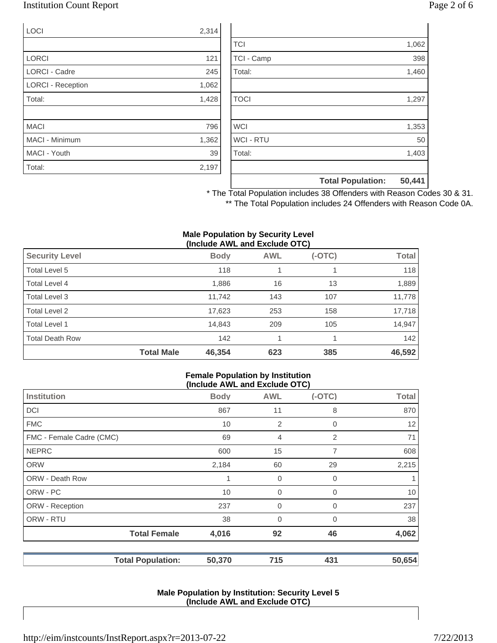### Institution Count Report Page 2 of 6

| <b>LOCI</b>              | 2,314 |
|--------------------------|-------|
|                          |       |
| <b>LORCI</b>             | 121   |
| <b>LORCI - Cadre</b>     | 245   |
| <b>LORCI - Reception</b> | 1,062 |
| Total:                   | 1,428 |
|                          |       |
| <b>MACI</b>              | 796   |
| <b>MACI - Minimum</b>    | 1,362 |
| MACI - Youth             | 39    |
| Total:                   | 2,197 |

|             | <b>Total Population:</b> | 50,441 |
|-------------|--------------------------|--------|
|             |                          |        |
| Total:      |                          | 1,403  |
| WCI - RTU   |                          | 50     |
| <b>WCI</b>  |                          | 1,353  |
|             |                          |        |
| <b>TOCI</b> |                          | 1,297  |
|             |                          |        |
| Total:      |                          | 1,460  |
| TCI - Camp  |                          | 398    |
| <b>TCI</b>  |                          | 1,062  |

\* The Total Population includes 38 Offenders with Reason Codes 30 & 31. \*\* The Total Population includes 24 Offenders with Reason Code 0A.

#### **Male Population by Security Level (Include AWL and Exclude OTC)**

| <b>Security Level</b>  |                   | <b>Body</b> | <b>AWL</b> | $(-OTC)$ | <b>Total</b> |
|------------------------|-------------------|-------------|------------|----------|--------------|
| Total Level 5          |                   | 118         |            |          | 118          |
| Total Level 4          |                   | 1,886       | 16         | 13       | 1,889        |
| Total Level 3          |                   | 11,742      | 143        | 107      | 11,778       |
| Total Level 2          |                   | 17,623      | 253        | 158      | 17,718       |
| Total Level 1          |                   | 14,843      | 209        | 105      | 14,947       |
| <b>Total Death Row</b> |                   | 142         |            |          | 142          |
|                        | <b>Total Male</b> | 46,354      | 623        | 385      | 46,592       |

#### **Female Population by Institution (Include AWL and Exclude OTC)**

| (110)                    |             |                |             |              |
|--------------------------|-------------|----------------|-------------|--------------|
| <b>Institution</b>       | <b>Body</b> | <b>AWL</b>     | $(-OTC)$    | <b>Total</b> |
| DCI                      | 867         | 11             | 8           | 870          |
| <b>FMC</b>               | 10          | $\overline{2}$ | $\mathbf 0$ | 12           |
| FMC - Female Cadre (CMC) | 69          | $\overline{4}$ | 2           | 71           |
| <b>NEPRC</b>             | 600         | 15             | 7           | 608          |
| <b>ORW</b>               | 2,184       | 60             | 29          | 2,215        |
| <b>ORW - Death Row</b>   |             | 0              | $\mathbf 0$ | 1            |
| ORW - PC                 | 10          | $\mathbf 0$    | $\mathbf 0$ | 10           |
| ORW - Reception          | 237         | $\mathbf 0$    | 0           | 237          |
| ORW - RTU                | 38          | $\mathbf 0$    | $\Omega$    | 38           |
| <b>Total Female</b>      | 4,016       | 92             | 46          | 4,062        |
| <b>Total Population:</b> | 50,370      | 715            | 431         | 50,654       |

#### **Male Population by Institution: Security Level 5 (Include AWL and Exclude OTC)**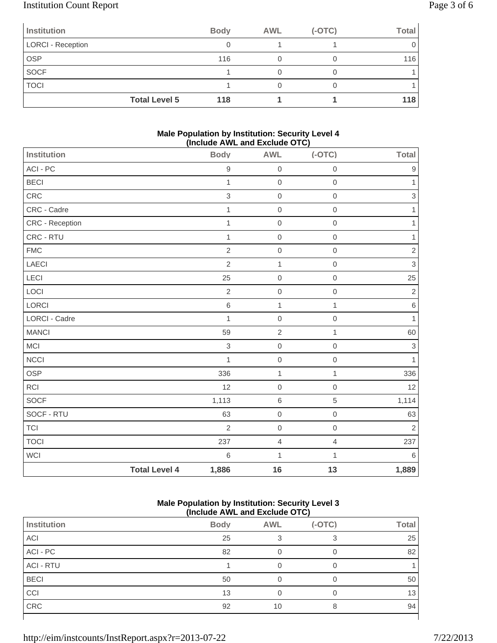# Institution Count Report Page 3 of 6

| <b>Institution</b>       | <b>Body</b> | <b>AWL</b> | $(-OTC)$ | Total |
|--------------------------|-------------|------------|----------|-------|
| <b>LORCI - Reception</b> |             |            |          |       |
| <b>OSP</b>               | 116         |            |          | 116   |
| <b>SOCF</b>              |             |            |          |       |
| <b>TOCI</b>              |             |            |          |       |
| <b>Total Level 5</b>     | 118         |            |          | 118   |

### **Male Population by Institution: Security Level 4 (Include AWL and Exclude OTC)**

| Institution     |                      | <b>Body</b>    | <b>AWL</b>               | - - - ,<br>$(-OTC)$ | Total                     |
|-----------------|----------------------|----------------|--------------------------|---------------------|---------------------------|
| ACI - PC        |                      | $\hbox{9}$     | $\boldsymbol{0}$         | $\mathbf 0$         | $\boldsymbol{9}$          |
| <b>BECI</b>     |                      | $\mathbf{1}$   | $\,0\,$                  | $\mbox{O}$          | 1                         |
| CRC             |                      | $\,$ 3 $\,$    | $\mbox{O}$               | $\mathbf 0$         | $\sqrt{3}$                |
| CRC - Cadre     |                      | $\mathbf{1}$   | $\,0\,$                  | $\mathbf 0$         | 1                         |
| CRC - Reception |                      | $\mathbf{1}$   | $\mathbf 0$              | $\mathbf 0$         | $\mathbf{1}$              |
| CRC - RTU       |                      | $\mathbf{1}$   | $\mbox{O}$               | $\mbox{O}$          | $\mathbf{1}$              |
| ${\sf FMC}$     |                      | $\overline{2}$ | $\mbox{O}$               | $\mathbf 0$         | $\sqrt{2}$                |
| LAECI           |                      | $\overline{2}$ | $\mathbf{1}$             | $\mathbf 0$         | $\mathfrak{S}$            |
| LECI            |                      | 25             | $\mathbf 0$              | $\,0\,$             | 25                        |
| LOCI            |                      | $\sqrt{2}$     | $\mbox{O}$               | $\mbox{O}$          | $\sqrt{2}$                |
| LORCI           |                      | $\,$ 6 $\,$    | $\mathbf{1}$             | $\mathbf{1}$        | $\,6\,$                   |
| LORCI - Cadre   |                      | $\mathbf{1}$   | $\mathbf 0$              | $\mathbf 0$         | $\mathbf{1}$              |
| <b>MANCI</b>    |                      | 59             | $\overline{2}$           | $\mathbf{1}$        | 60                        |
| MCI             |                      | $\,$ 3 $\,$    | $\mathsf{O}\xspace$      | $\mbox{O}$          | $\ensuremath{\mathsf{3}}$ |
| <b>NCCI</b>     |                      | $\mathbf{1}$   | $\,0\,$                  | $\mathbf 0$         | $\mathbf{1}$              |
| <b>OSP</b>      |                      | 336            | $\mathbf{1}$             | 1                   | 336                       |
| RCI             |                      | 12             | $\mathbf 0$              | $\mathbf 0$         | 12                        |
| SOCF            |                      | 1,113          | $\,$ 6 $\,$              | $\,$ 5 $\,$         | 1,114                     |
| SOCF - RTU      |                      | 63             | $\mathbf 0$              | $\mbox{O}$          | 63                        |
| $\top$ Cl       |                      | $\overline{2}$ | $\mathsf{O}\xspace$      | $\,0\,$             | $\sqrt{2}$                |
| <b>TOCI</b>     |                      | 237            | $\overline{\mathcal{L}}$ | $\overline{4}$      | 237                       |
| <b>WCI</b>      |                      | 6              | $\mathbf 1$              | $\mathbf{1}$        | $\,6\,$                   |
|                 | <b>Total Level 4</b> | 1,886          | 16                       | 13                  | 1,889                     |

### **Male Population by Institution: Security Level 3 (Include AWL and Exclude OTC)**

|                  |             |            | -- - - - - |              |
|------------------|-------------|------------|------------|--------------|
| Institution      | <b>Body</b> | <b>AWL</b> | $(-OTC)$   | <b>Total</b> |
| <b>ACI</b>       | 25          |            |            | 25           |
| ACI - PC         | 82          | 0          | 0          | 82           |
| <b>ACI - RTU</b> |             |            | 0          |              |
| <b>BECI</b>      | 50          |            | 0          | 50           |
| CCI              | 13          |            |            | 13           |
| CRC              | 92          | 10         | 8          | 94           |
|                  |             |            |            |              |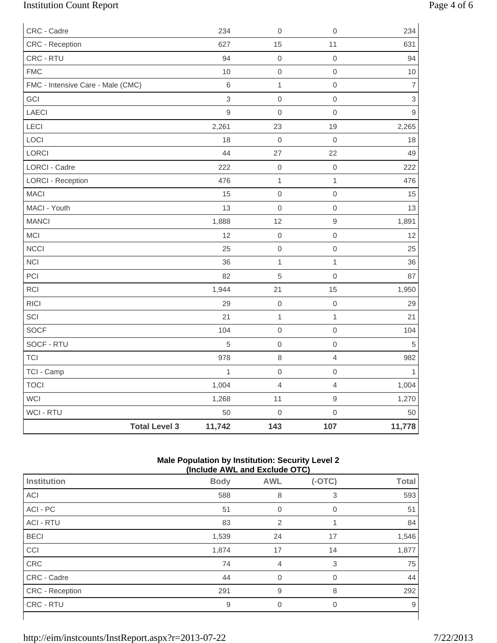# Institution Count Report Page 4 of 6

| CRC - Cadre                       |                      | 234          | $\mathbf 0$      | $\mathbf 0$         | 234            |
|-----------------------------------|----------------------|--------------|------------------|---------------------|----------------|
| CRC - Reception                   |                      | 627          | 15               | 11                  | 631            |
| CRC - RTU                         |                      | 94           | $\boldsymbol{0}$ | $\mathbf 0$         | 94             |
| <b>FMC</b>                        |                      | 10           | $\boldsymbol{0}$ | $\mathbf 0$         | $10$           |
| FMC - Intensive Care - Male (CMC) |                      | $6\,$        | $\mathbf 1$      | $\mathbf 0$         | $\overline{7}$ |
| GCI                               |                      | 3            | $\boldsymbol{0}$ | $\mathbf 0$         | $\,$ 3 $\,$    |
| LAECI                             |                      | $\mathsf g$  | $\mathbf 0$      | $\mathsf{O}\xspace$ | $\mathsf g$    |
| <b>LECI</b>                       |                      | 2,261        | 23               | 19                  | 2,265          |
| LOCI                              |                      | 18           | $\boldsymbol{0}$ | $\mathbf 0$         | 18             |
| LORCI                             |                      | 44           | 27               | 22                  | 49             |
| <b>LORCI - Cadre</b>              |                      | 222          | $\mbox{O}$       | $\mbox{O}$          | 222            |
| <b>LORCI - Reception</b>          |                      | 476          | $\mathbf{1}$     | $\mathbf{1}$        | 476            |
| <b>MACI</b>                       |                      | 15           | $\mathbf 0$      | $\mbox{O}$          | 15             |
| MACI - Youth                      |                      | 13           | $\boldsymbol{0}$ | $\mbox{O}$          | 13             |
| <b>MANCI</b>                      |                      | 1,888        | 12               | $\hbox{9}$          | 1,891          |
| MCI                               |                      | 12           | $\mbox{O}$       | $\mathsf{O}\xspace$ | 12             |
| <b>NCCI</b>                       |                      | 25           | $\mbox{O}$       | $\mathsf{O}\xspace$ | 25             |
| <b>NCI</b>                        |                      | 36           | $\mathbf{1}$     | $\mathbf{1}$        | 36             |
| PCI                               |                      | 82           | $\overline{5}$   | $\mathsf{O}\xspace$ | 87             |
| RCI                               |                      | 1,944        | 21               | 15                  | 1,950          |
| <b>RICI</b>                       |                      | 29           | $\mbox{O}$       | $\mathbf 0$         | 29             |
| SCI                               |                      | 21           | $\mathbf{1}$     | $\mathbf{1}$        | 21             |
| SOCF                              |                      | 104          | $\boldsymbol{0}$ | $\mbox{O}$          | 104            |
| SOCF - RTU                        |                      | 5            | $\boldsymbol{0}$ | $\mathsf{O}\xspace$ | $\sqrt{5}$     |
| <b>TCI</b>                        |                      | 978          | 8                | $\overline{4}$      | 982            |
| TCI - Camp                        |                      | $\mathbf{1}$ | $\mbox{O}$       | $\mathbf 0$         | 1              |
| <b>TOCI</b>                       |                      | 1,004        | $\overline{4}$   | $\overline{4}$      | 1,004          |
| WCI                               |                      | 1,268        | 11               | $\hbox{9}$          | 1,270          |
| WCI - RTU                         |                      | 50           | $\mathbf 0$      | $\mathsf{O}\xspace$ | 50             |
|                                   | <b>Total Level 3</b> | 11,742       | 143              | 107                 | 11,778         |

### **Male Population by Institution: Security Level 2 (Include AWL and Exclude OTC)**

|                        | (include AWL and Exclude OTC) |                |          |              |  |  |
|------------------------|-------------------------------|----------------|----------|--------------|--|--|
| Institution            | <b>Body</b>                   | <b>AWL</b>     | $(-OTC)$ | <b>Total</b> |  |  |
| <b>ACI</b>             | 588                           | 8              | 3        | 593          |  |  |
| ACI - PC               | 51                            | 0              | 0        | 51           |  |  |
| <b>ACI - RTU</b>       | 83                            | $\overline{2}$ |          | 84           |  |  |
| <b>BECI</b>            | 1,539                         | 24             | 17       | 1,546        |  |  |
| CCI                    | 1,874                         | 17             | 14       | 1,877        |  |  |
| CRC                    | 74                            | 4              | 3        | 75           |  |  |
| CRC - Cadre            | 44                            | $\Omega$       | $\Omega$ | 44           |  |  |
| <b>CRC</b> - Reception | 291                           | 9              | 8        | 292          |  |  |
| CRC - RTU              | 9                             | 0              | $\Omega$ | 9            |  |  |
|                        |                               |                |          |              |  |  |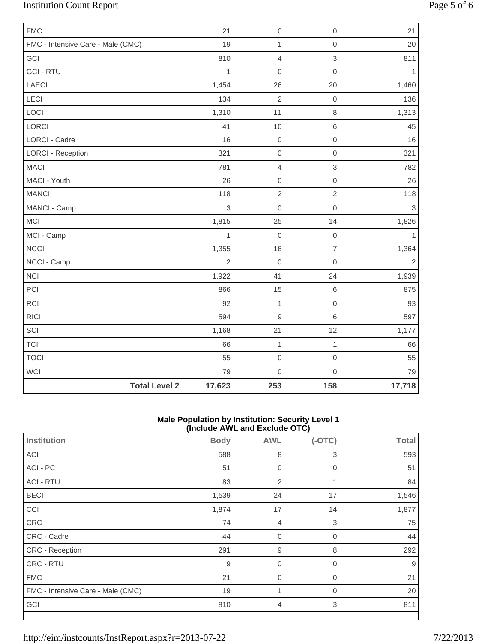# Institution Count Report Page 5 of 6

| <b>FMC</b>                        |                      | 21             | $\mathbf 0$         | $\mathsf{O}\xspace$ | 21             |
|-----------------------------------|----------------------|----------------|---------------------|---------------------|----------------|
| FMC - Intensive Care - Male (CMC) |                      | 19             | $\mathbf{1}$        | $\mathbf 0$         | 20             |
| GCI                               |                      | 810            | $\overline{4}$      | 3                   | 811            |
| <b>GCI - RTU</b>                  |                      | 1              | $\mathbf 0$         | $\mathbf 0$         | $\mathbf{1}$   |
| <b>LAECI</b>                      |                      | 1,454          | 26                  | 20                  | 1,460          |
| LECI                              |                      | 134            | $\overline{2}$      | $\mathbf 0$         | 136            |
| LOCI                              |                      | 1,310          | 11                  | $\,8\,$             | 1,313          |
| LORCI                             |                      | 41             | 10                  | $\,$ 6 $\,$         | 45             |
| LORCI - Cadre                     |                      | 16             | $\mathsf{O}\xspace$ | $\mathsf{O}\xspace$ | 16             |
| <b>LORCI - Reception</b>          |                      | 321            | $\mathbf 0$         | $\mathbf 0$         | 321            |
| <b>MACI</b>                       |                      | 781            | $\overline{4}$      | 3                   | 782            |
| MACI - Youth                      |                      | 26             | $\mathbf 0$         | $\mathbf 0$         | 26             |
| <b>MANCI</b>                      |                      | 118            | $\sqrt{2}$          | $\sqrt{2}$          | 118            |
| MANCI - Camp                      |                      | 3              | $\mathbf 0$         | $\mathbf 0$         | 3              |
| <b>MCI</b>                        |                      | 1,815          | 25                  | 14                  | 1,826          |
| MCI - Camp                        |                      | 1              | $\mathbf 0$         | $\mathbf 0$         | $\mathbf{1}$   |
| <b>NCCI</b>                       |                      | 1,355          | 16                  | $\overline{7}$      | 1,364          |
| NCCI - Camp                       |                      | $\overline{2}$ | $\mathbf 0$         | $\mathbf 0$         | $\overline{2}$ |
| <b>NCI</b>                        |                      | 1,922          | 41                  | 24                  | 1,939          |
| PCI                               |                      | 866            | 15                  | $\,$ 6 $\,$         | 875            |
| RCI                               |                      | 92             | $\mathbf{1}$        | $\mathbf 0$         | 93             |
| <b>RICI</b>                       |                      | 594            | $\mathsf g$         | 6                   | 597            |
| SCI                               |                      | 1,168          | 21                  | 12                  | 1,177          |
| <b>TCI</b>                        |                      | 66             | $\mathbf 1$         | $\mathbf{1}$        | 66             |
| <b>TOCI</b>                       |                      | 55             | $\mbox{O}$          | $\mathbf 0$         | 55             |
| WCI                               |                      | 79             | $\mathsf{O}\xspace$ | $\mathbf 0$         | 79             |
|                                   | <b>Total Level 2</b> | 17,623         | 253                 | 158                 | 17,718         |

#### **Male Population by Institution: Security Level 1 (Include AWL and Exclude OTC)**

|                                   | ,           |                  | . <sub>1</sub> |              |
|-----------------------------------|-------------|------------------|----------------|--------------|
| <b>Institution</b>                | <b>Body</b> | <b>AWL</b>       | $(-OTC)$       | <b>Total</b> |
| ACI                               | 588         | 8                | 3              | 593          |
| ACI - PC                          | 51          | $\mathbf 0$      | $\mathbf 0$    | 51           |
| <b>ACI - RTU</b>                  | 83          | $\overline{2}$   | 1              | 84           |
| <b>BECI</b>                       | 1,539       | 24               | 17             | 1,546        |
| CCI                               | 1,874       | 17               | 14             | 1,877        |
| CRC                               | 74          | $\overline{4}$   | 3              | 75           |
| CRC - Cadre                       | 44          | $\overline{0}$   | $\overline{0}$ | 44           |
| CRC - Reception                   | 291         | $\boldsymbol{9}$ | 8              | 292          |
| CRC - RTU                         | 9           | $\mathbf 0$      | $\overline{0}$ | 9            |
| <b>FMC</b>                        | 21          | $\mathbf 0$      | $\overline{0}$ | 21           |
| FMC - Intensive Care - Male (CMC) | 19          | 1                | 0              | 20           |
| GCI                               | 810         | $\overline{4}$   | 3              | 811          |
|                                   |             |                  |                |              |